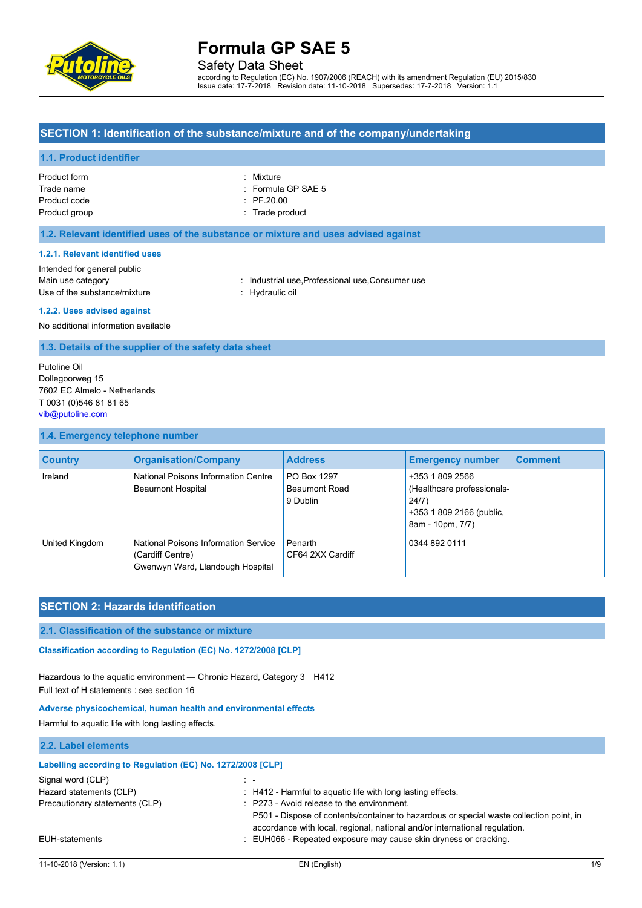

Safety Data Sheet

according to Regulation (EC) No. 1907/2006 (REACH) with its amendment Regulation (EU) 2015/830 Issue date: 17-7-2018 Revision date: 11-10-2018 Supersedes: 17-7-2018 Version: 1.1

#### **SECTION 1: Identification of the substance/mixture and of the company/undertaking**

#### **1.1. Product identifier**

| Product form  |  |
|---------------|--|
| Trade name    |  |
| Product code  |  |
| Product group |  |

: Mixture : Formula GP SAE 5  $\therefore$  PF.20.00 : Trade product

#### **1.2. Relevant identified uses of the substance or mixture and uses advised against**

#### **1.2.1. Relevant identified uses**

Intended for general public Main use category **industrial use, Professional use, Consumer use** in Main use category Use of the substance/mixture : Hydraulic oil

#### **1.2.2. Uses advised against**

No additional information available

**1.3. Details of the supplier of the safety data sheet**

Putoline Oil Dollegoorweg 15 7602 EC Almelo - Netherlands T 0031 (0)546 81 81 65 [vib@putoline.com](mailto:vib@putoline.com)

#### **1.4. Emergency telephone number**

| <b>Country</b> | <b>Organisation/Company</b>                                                                  | <b>Address</b>                                  | <b>Emergency number</b>                                                                                | <b>Comment</b> |
|----------------|----------------------------------------------------------------------------------------------|-------------------------------------------------|--------------------------------------------------------------------------------------------------------|----------------|
| Ireland        | National Poisons Information Centre<br><b>Beaumont Hospital</b>                              | PO Box 1297<br><b>Beaumont Road</b><br>9 Dublin | +353 1 809 2566<br>(Healthcare professionals-<br>24/7)<br>+353 1 809 2166 (public,<br>8am - 10pm, 7/7) |                |
| United Kingdom | National Poisons Information Service<br>(Cardiff Centre)<br>Gwenwyn Ward, Llandough Hospital | Penarth<br>CF64 2XX Cardiff                     | 0344 892 0111                                                                                          |                |

### **SECTION 2: Hazards identification**

#### **2.1. Classification of the substance or mixture**

Classification according to Regulation (EC) No. 1272/2008 [CLP]

Hazardous to the aquatic environment — Chronic Hazard, Category 3 H412 Full text of H statements : see section 16

#### **Adverse physicochemical, human health and environmental effects**

Harmful to aquatic life with long lasting effects.

#### **2.2. Label elements**

| Labelling according to Regulation (EC) No. 1272/2008 [CLP] |                                                                                                                                                                                                                                |
|------------------------------------------------------------|--------------------------------------------------------------------------------------------------------------------------------------------------------------------------------------------------------------------------------|
| Signal word (CLP)                                          |                                                                                                                                                                                                                                |
| Hazard statements (CLP)                                    | : H412 - Harmful to aquatic life with long lasting effects.                                                                                                                                                                    |
| Precautionary statements (CLP)                             | $\therefore$ P273 - Avoid release to the environment.<br>P501 - Dispose of contents/container to hazardous or special waste collection point, in<br>accordance with local, regional, national and/or international regulation. |
| EUH-statements                                             | : EUH066 - Repeated exposure may cause skin dryness or cracking.                                                                                                                                                               |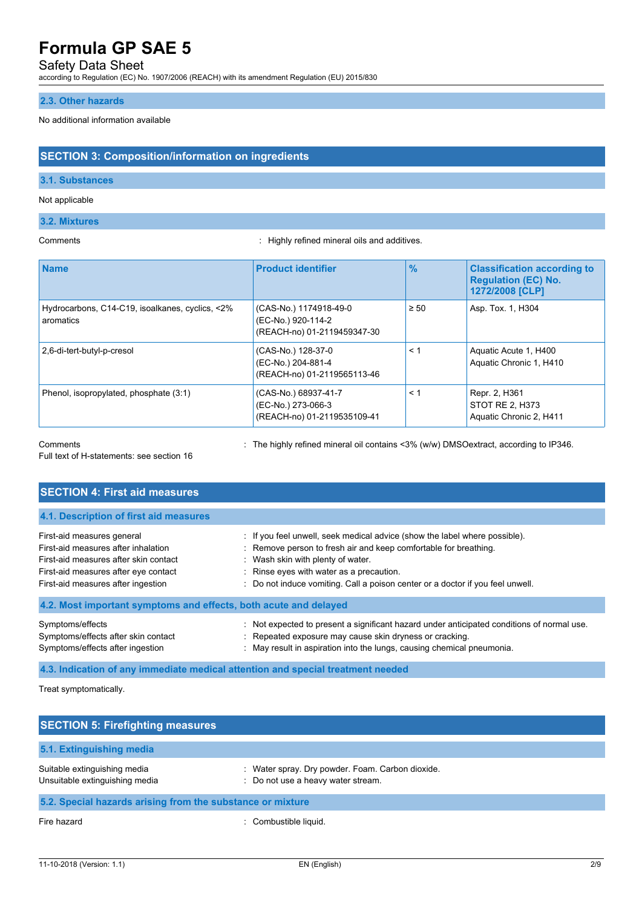### Safety Data Sheet

according to Regulation (EC) No. 1907/2006 (REACH) with its amendment Regulation (EU) 2015/830

### **2.3. Other hazards**

#### No additional information available

### **SECTION 3: Composition/information on ingredients**

#### **3.1. Substances**

#### Not applicable

#### **3.2. Mixtures**

Comments : Highly refined mineral oils and additives.

| <b>Name</b>                                                  | <b>Product identifier</b>                                                   | $\frac{9}{6}$ | <b>Classification according to</b><br><b>Regulation (EC) No.</b><br>1272/2008 [CLP] |
|--------------------------------------------------------------|-----------------------------------------------------------------------------|---------------|-------------------------------------------------------------------------------------|
| Hydrocarbons, C14-C19, isoalkanes, cyclics, <2%<br>aromatics | (CAS-No.) 1174918-49-0<br>(EC-No.) 920-114-2<br>(REACH-no) 01-2119459347-30 | $\geq 50$     | Asp. Tox. 1, H304                                                                   |
| 2,6-di-tert-butyl-p-cresol                                   | (CAS-No.) 128-37-0<br>(EC-No.) 204-881-4<br>(REACH-no) 01-2119565113-46     | < 1           | Aquatic Acute 1, H400<br>Aquatic Chronic 1, H410                                    |
| Phenol, isopropylated, phosphate (3:1)                       | (CAS-No.) 68937-41-7<br>(EC-No.) 273-066-3<br>(REACH-no) 01-2119535109-41   | < 1           | Repr. 2, H361<br>STOT RE 2, H373<br>Aquatic Chronic 2, H411                         |

Full text of H-statements: see section 16

Comments : The highly refined mineral oil contains <3% (w/w) DMSOextract, according to IP346.

| <b>SECTION 4: First aid measures</b>                                                                                                                                                     |                                                                                                                                                                                                                                                                                                                   |
|------------------------------------------------------------------------------------------------------------------------------------------------------------------------------------------|-------------------------------------------------------------------------------------------------------------------------------------------------------------------------------------------------------------------------------------------------------------------------------------------------------------------|
| 4.1. Description of first aid measures                                                                                                                                                   |                                                                                                                                                                                                                                                                                                                   |
| First-aid measures general<br>First-aid measures after inhalation<br>First-aid measures after skin contact<br>First-aid measures after eye contact<br>First-aid measures after ingestion | : If you feel unwell, seek medical advice (show the label where possible).<br>: Remove person to fresh air and keep comfortable for breathing.<br>: Wash skin with plenty of water.<br>: Rinse eyes with water as a precaution.<br>: Do not induce vomiting. Call a poison center or a doctor if you feel unwell. |
| 4.2. Most important symptoms and effects, both acute and delayed                                                                                                                         |                                                                                                                                                                                                                                                                                                                   |
| Symptoms/effects<br>Symptoms/effects after skin contact<br>Symptoms/effects after ingestion                                                                                              | : Not expected to present a significant hazard under anticipated conditions of normal use.<br>: Repeated exposure may cause skin dryness or cracking.<br>: May result in aspiration into the lungs, causing chemical pneumonia.                                                                                   |

**4.3. Indication of any immediate medical attention and special treatment needed**

Treat symptomatically.

| <b>SECTION 5: Firefighting measures</b>                        |                                                                                      |  |
|----------------------------------------------------------------|--------------------------------------------------------------------------------------|--|
| 5.1. Extinguishing media                                       |                                                                                      |  |
| Suitable extinguishing media<br>Unsuitable extinguishing media | Water spray. Dry powder. Foam. Carbon dioxide.<br>: Do not use a heavy water stream. |  |
| 5.2. Special hazards arising from the substance or mixture     |                                                                                      |  |
| Fire hazard                                                    | Combustible liquid.                                                                  |  |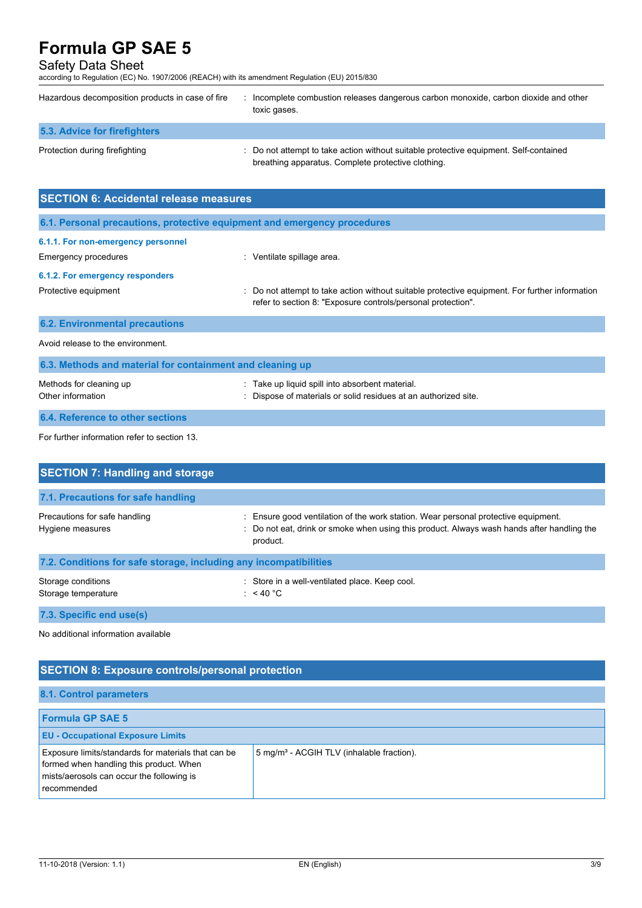### Safety Data Sheet

according to Regulation (EC) No. 1907/2006 (REACH) with its amendment Regulation (EU) 2015/830

| Hazardous decomposition products in case of fire                         | : Incomplete combustion releases dangerous carbon monoxide, carbon dioxide and other<br>toxic gases.                                                           |
|--------------------------------------------------------------------------|----------------------------------------------------------------------------------------------------------------------------------------------------------------|
| 5.3. Advice for firefighters                                             |                                                                                                                                                                |
| Protection during firefighting                                           | : Do not attempt to take action without suitable protective equipment. Self-contained<br>breathing apparatus. Complete protective clothing.                    |
| <b>SECTION 6: Accidental release measures</b>                            |                                                                                                                                                                |
| 6.1. Personal precautions, protective equipment and emergency procedures |                                                                                                                                                                |
| 6.1.1. For non-emergency personnel<br>Emergency procedures               | : Ventilate spillage area.                                                                                                                                     |
| 6.1.2. For emergency responders                                          |                                                                                                                                                                |
| Protective equipment                                                     | : Do not attempt to take action without suitable protective equipment. For further information<br>refer to section 8: "Exposure controls/personal protection". |
| <b>6.2. Environmental precautions</b>                                    |                                                                                                                                                                |
| Avoid release to the environment.                                        |                                                                                                                                                                |
| 6.3. Methods and material for containment and cleaning up                |                                                                                                                                                                |

| Methods for cleaning up          | : Take up liquid spill into absorbent material.                 |
|----------------------------------|-----------------------------------------------------------------|
| Other information                | : Dispose of materials or solid residues at an authorized site. |
| 6.4. Reference to other sections |                                                                 |

# For further information refer to section 13.

| <b>SECTION 7: Handling and storage</b>                            |                                                                                                                                                                                              |
|-------------------------------------------------------------------|----------------------------------------------------------------------------------------------------------------------------------------------------------------------------------------------|
| 7.1. Precautions for safe handling                                |                                                                                                                                                                                              |
| Precautions for safe handling<br>Hygiene measures                 | : Ensure good ventilation of the work station. Wear personal protective equipment.<br>: Do not eat, drink or smoke when using this product. Always wash hands after handling the<br>product. |
| 7.2. Conditions for safe storage, including any incompatibilities |                                                                                                                                                                                              |
| Storage conditions<br>Storage temperature                         | : Store in a well-ventilated place. Keep cool.<br>: $<$ 40 °C                                                                                                                                |

**7.3. Specific end use(s)**

No additional information available

# **SECTION 8: Exposure controls/personal protection**

### **8.1. Control parameters**

| <b>Formula GP SAE 5</b>                                                                                                                                    |                                                       |
|------------------------------------------------------------------------------------------------------------------------------------------------------------|-------------------------------------------------------|
| <b>EU - Occupational Exposure Limits</b>                                                                                                                   |                                                       |
| Exposure limits/standards for materials that can be<br>formed when handling this product. When<br>mists/aerosols can occur the following is<br>recommended | 5 mg/m <sup>3</sup> - ACGIH TLV (inhalable fraction). |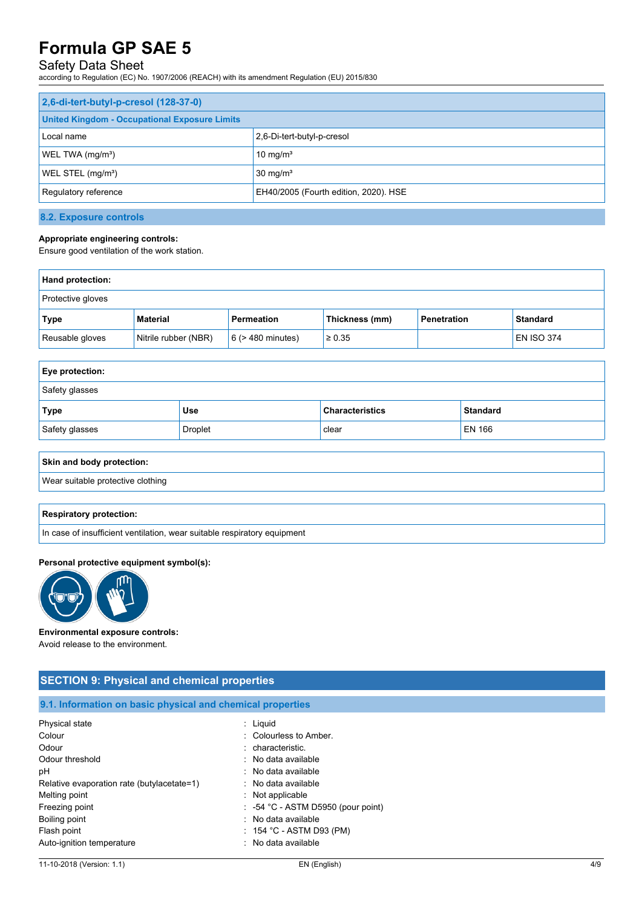## Safety Data Sheet

according to Regulation (EC) No. 1907/2006 (REACH) with its amendment Regulation (EU) 2015/830

| 2,6-di-tert-butyl-p-cresol (128-37-0)                |                                       |  |
|------------------------------------------------------|---------------------------------------|--|
| <b>United Kingdom - Occupational Exposure Limits</b> |                                       |  |
| Local name                                           | 2,6-Di-tert-butyl-p-cresol            |  |
| WEL TWA (mg/m <sup>3</sup> )                         | 10 mg/ $m3$                           |  |
| WEL STEL (mg/m <sup>3</sup> )                        | $30 \text{ mg/m}^3$                   |  |
| Regulatory reference                                 | EH40/2005 (Fourth edition, 2020). HSE |  |

#### **8.2. Exposure controls**

#### **Appropriate engineering controls:**

Ensure good ventilation of the work station.

| Hand protection:  |                      |                        |                |             |                   |
|-------------------|----------------------|------------------------|----------------|-------------|-------------------|
| Protective gloves |                      |                        |                |             |                   |
| Type              | <b>Material</b>      | <b>Permeation</b>      | Thickness (mm) | Penetration | <b>Standard</b>   |
| Reusable gloves   | Nitrile rubber (NBR) | $6$ ( $>$ 480 minutes) | $\ge 0.35$     |             | <b>EN ISO 374</b> |

| <b>Eye protection:</b> |                |                        |                 |  |
|------------------------|----------------|------------------------|-----------------|--|
| Safety glasses         |                |                        |                 |  |
| Type                   | <b>Use</b>     | <b>Characteristics</b> | <b>Standard</b> |  |
| Safety glasses         | <b>Droplet</b> | clear                  | <b>EN 166</b>   |  |

#### **Skin and body protection:**

Wear suitable protective clothing

#### **Respiratory protection:**

In case of insufficient ventilation, wear suitable respiratory equipment

#### **Personal protective equipment symbol(s):**



#### **Environmental exposure controls:**

Avoid release to the environment.

| <b>SECTION 9: Physical and chemical properties</b>         |                                               |  |  |  |
|------------------------------------------------------------|-----------------------------------------------|--|--|--|
| 9.1. Information on basic physical and chemical properties |                                               |  |  |  |
| Physical state                                             | $:$ Liquid                                    |  |  |  |
| Colour                                                     | : Colourless to Amber.                        |  |  |  |
| Odour                                                      | : characteristic.                             |  |  |  |
| Odour threshold                                            | : No data available                           |  |  |  |
| рH                                                         | : No data available                           |  |  |  |
| Relative evaporation rate (butylacetate=1)                 | : No data available                           |  |  |  |
| Melting point                                              | $:$ Not applicable                            |  |  |  |
| Freezing point                                             | $\therefore$ -54 °C - ASTM D5950 (pour point) |  |  |  |
| Boiling point                                              | : No data available                           |  |  |  |
| Flash point                                                | $\div$ 154 °C - ASTM D93 (PM)                 |  |  |  |
| Auto-ignition temperature                                  | : No data available                           |  |  |  |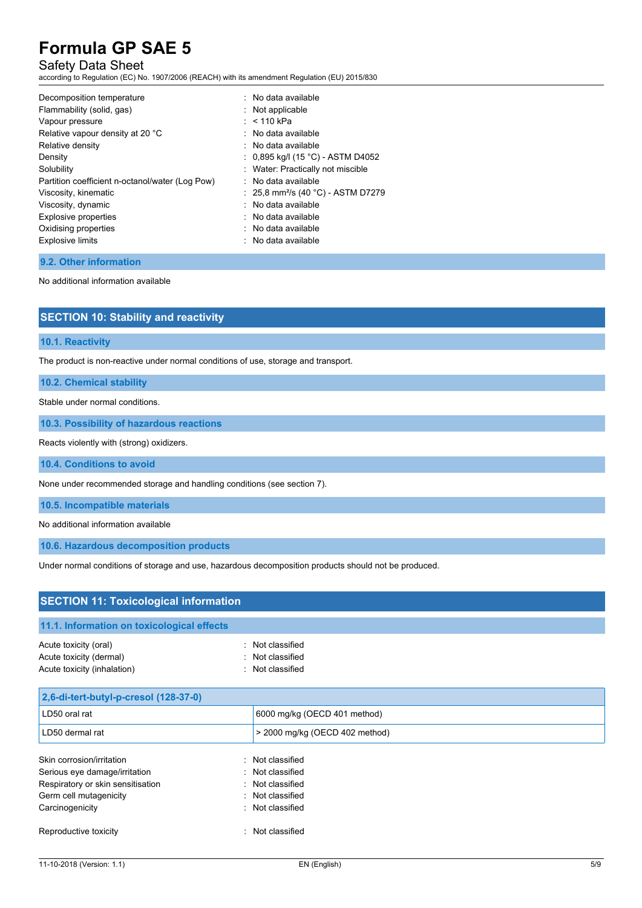### Safety Data Sheet

according to Regulation (EC) No. 1907/2006 (REACH) with its amendment Regulation (EU) 2015/830

#### **9.2. Other information**

No additional information available

| <b>SECTION 10: Stability and reactivity</b> |  |
|---------------------------------------------|--|
|---------------------------------------------|--|

#### **10.1. Reactivity**

The product is non-reactive under normal conditions of use, storage and transport.

**10.2. Chemical stability**

Stable under normal conditions.

**10.3. Possibility of hazardous reactions**

Reacts violently with (strong) oxidizers.

**10.4. Conditions to avoid**

None under recommended storage and handling conditions (see section 7).

**10.5. Incompatible materials**

No additional information available

**10.6. Hazardous decomposition products**

Under normal conditions of storage and use, hazardous decomposition products should not be produced.

| <b>SECTION 11: Toxicological information</b>                                                                                                 |    |                                                                                                  |  |  |
|----------------------------------------------------------------------------------------------------------------------------------------------|----|--------------------------------------------------------------------------------------------------|--|--|
| 11.1. Information on toxicological effects                                                                                                   |    |                                                                                                  |  |  |
| Acute toxicity (oral)<br>Acute toxicity (dermal)<br>Acute toxicity (inhalation)                                                              |    | Not classified<br>: Not classified<br>: Not classified                                           |  |  |
| 2,6-di-tert-butyl-p-cresol (128-37-0)                                                                                                        |    |                                                                                                  |  |  |
| LD50 oral rat                                                                                                                                |    | 6000 mg/kg (OECD 401 method)                                                                     |  |  |
| LD50 dermal rat                                                                                                                              |    | > 2000 mg/kg (OECD 402 method)                                                                   |  |  |
| Skin corrosion/irritation<br>Serious eye damage/irritation<br>Respiratory or skin sensitisation<br>Germ cell mutagenicity<br>Carcinogenicity |    | : Not classified<br>: Not classified<br>: Not classified<br>: Not classified<br>: Not classified |  |  |
| Reproductive toxicity                                                                                                                        | ۰. | Not classified                                                                                   |  |  |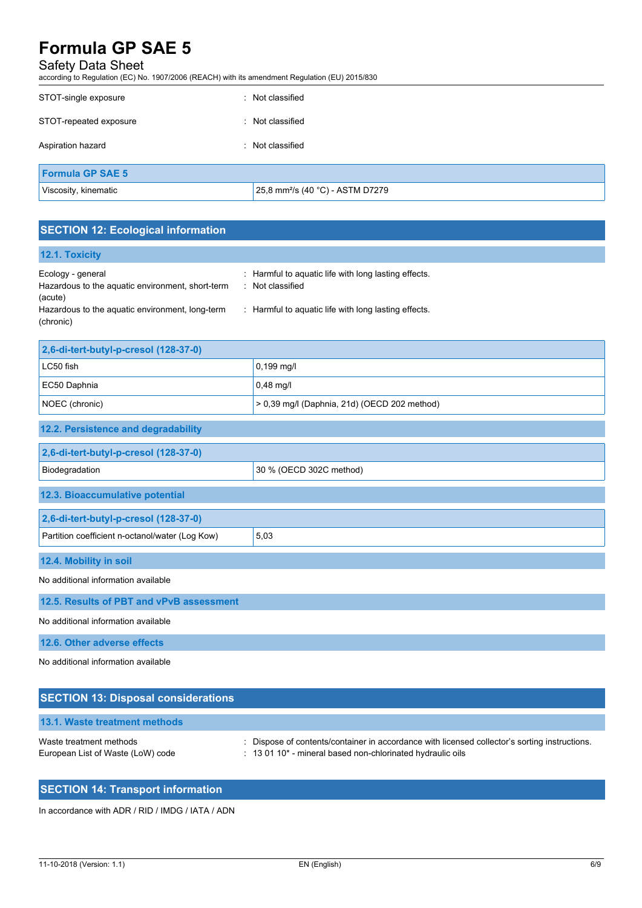### Safety Data Sheet

according to Regulation (EC) No. 1907/2006 (REACH) with its amendment Regulation (EU) 2015/830

| STOT-single exposure    | Not classified                               |
|-------------------------|----------------------------------------------|
| STOT-repeated exposure  | : Not classified                             |
| Aspiration hazard       | Not classified                               |
| <b>Formula GP SAE 5</b> |                                              |
| Viscosity, kinematic    | 25,8 mm <sup>2</sup> /s (40 °C) - ASTM D7279 |

# **SECTION 12: Ecological information**

| 12.1. Toxicity                                               |                                                      |
|--------------------------------------------------------------|------------------------------------------------------|
| Ecology - general                                            | : Harmful to aquatic life with long lasting effects. |
| Hazardous to the aguatic environment, short-term<br>(acute)  | Not classified                                       |
| Hazardous to the aquatic environment, long-term<br>(chronic) | : Harmful to aguatic life with long lasting effects. |

| 2,6-di-tert-butyl-p-cresol (128-37-0) |                                                |  |
|---------------------------------------|------------------------------------------------|--|
| LC50 fish                             | $0,199 \text{ m}$ g/l                          |  |
| EC50 Daphnia                          | $0,48$ mg/l                                    |  |
| NOEC (chronic)                        | $> 0.39$ mg/l (Daphnia, 21d) (OECD 202 method) |  |

### **12.2. Persistence and degradability**

| 2,6-di-tert-butyl-p-cresol (128-37-0)                   |                         |  |  |
|---------------------------------------------------------|-------------------------|--|--|
| Biodegradation                                          | 30 % (OECD 302C method) |  |  |
| 12.3. Bioaccumulative potential                         |                         |  |  |
| 2,6-di-tert-butyl-p-cresol (128-37-0)                   |                         |  |  |
| 5,03<br>Partition coefficient n-octanol/water (Log Kow) |                         |  |  |
| 12.4. Mobility in soil                                  |                         |  |  |

No additional information available

**12.5. Results of PBT and vPvB assessment**

No additional information available

**12.6. Other adverse effects**

No additional information available

| <b>SECTION 13: Disposal considerations</b>                   |                                                                                                                                                                         |
|--------------------------------------------------------------|-------------------------------------------------------------------------------------------------------------------------------------------------------------------------|
| 13.1. Waste treatment methods                                |                                                                                                                                                                         |
| Waste treatment methods<br>European List of Waste (LoW) code | : Dispose of contents/container in accordance with licensed collector's sorting instructions.<br>: 13 01 10 <sup>*</sup> - mineral based non-chlorinated hydraulic oils |

# **SECTION 14: Transport information**

In accordance with ADR / RID / IMDG / IATA / ADN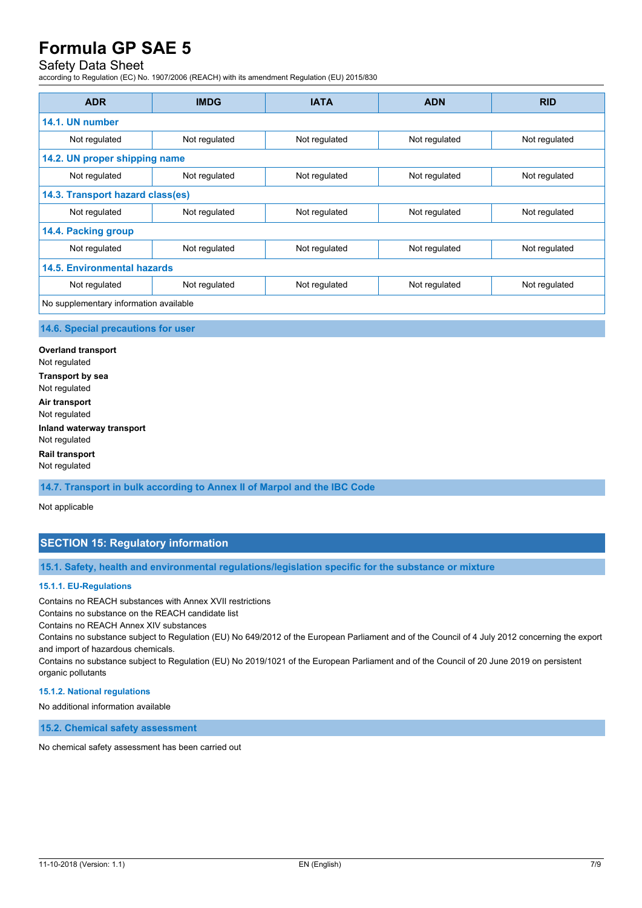# Safety Data Sheet

according to Regulation (EC) No. 1907/2006 (REACH) with its amendment Regulation (EU) 2015/830

| <b>ADR</b>                             | <b>IMDG</b>   | <b>IATA</b>   | <b>ADN</b>    | <b>RID</b>    |
|----------------------------------------|---------------|---------------|---------------|---------------|
| 14.1. UN number                        |               |               |               |               |
| Not regulated                          | Not regulated | Not regulated | Not regulated | Not regulated |
| 14.2. UN proper shipping name          |               |               |               |               |
| Not regulated                          | Not regulated | Not regulated | Not regulated | Not regulated |
| 14.3. Transport hazard class(es)       |               |               |               |               |
| Not regulated                          | Not regulated | Not regulated | Not regulated | Not regulated |
| 14.4. Packing group                    |               |               |               |               |
| Not regulated                          | Not regulated | Not regulated | Not regulated | Not regulated |
| <b>14.5. Environmental hazards</b>     |               |               |               |               |
| Not regulated                          | Not regulated | Not regulated | Not regulated | Not regulated |
| No supplementary information available |               |               |               |               |

#### **14.6. Special precautions for user**

**Overland transport** Not regulated **Transport by sea** Not regulated **Air transport** Not regulated **Inland waterway transport** Not regulated **Rail transport** Not regulated

**14.7. Transport in bulk according to Annex II of Marpol and the IBC Code**

Not applicable

### **SECTION 15: Regulatory information**

**15.1. Safety, health and environmental regulations/legislation specific for the substance or mixture**

#### **15.1.1. EU-Regulations**

Contains no REACH substances with Annex XVII restrictions

Contains no substance on the REACH candidate list

Contains no REACH Annex XIV substances

Contains no substance subject to Regulation (EU) No 649/2012 of the European Parliament and of the Council of 4 July 2012 concerning the export and import of hazardous chemicals.

Contains no substance subject to Regulation (EU) No 2019/1021 of the European Parliament and of the Council of 20 June 2019 on persistent organic pollutants

#### **15.1.2. National regulations**

No additional information available

**15.2. Chemical safety assessment**

No chemical safety assessment has been carried out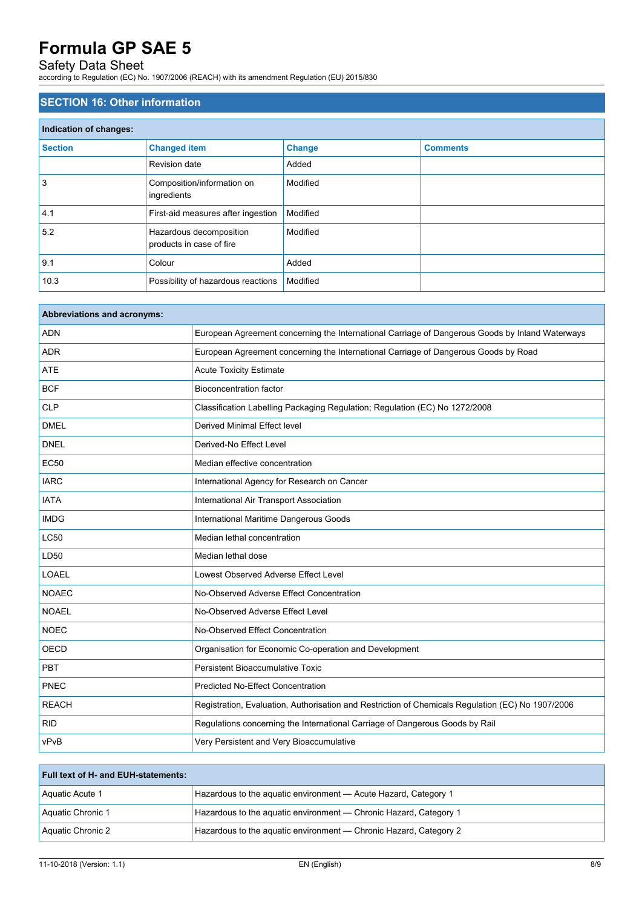### Safety Data Sheet

according to Regulation (EC) No. 1907/2006 (REACH) with its amendment Regulation (EU) 2015/830

### **SECTION 16: Other information**

| Indication of changes: |                                                     |               |                 |  |
|------------------------|-----------------------------------------------------|---------------|-----------------|--|
| <b>Section</b>         | <b>Changed item</b>                                 | <b>Change</b> | <b>Comments</b> |  |
|                        | Revision date                                       | Added         |                 |  |
| 3                      | Composition/information on<br>ingredients           | Modified      |                 |  |
| 4.1                    | First-aid measures after ingestion                  | Modified      |                 |  |
| 5.2                    | Hazardous decomposition<br>products in case of fire | Modified      |                 |  |
| 9.1                    | Colour                                              | Added         |                 |  |
| 10.3                   | Possibility of hazardous reactions                  | Modified      |                 |  |

| <b>Abbreviations and acronyms:</b> |                                                                                                   |
|------------------------------------|---------------------------------------------------------------------------------------------------|
| <b>ADN</b>                         | European Agreement concerning the International Carriage of Dangerous Goods by Inland Waterways   |
| <b>ADR</b>                         | European Agreement concerning the International Carriage of Dangerous Goods by Road               |
| <b>ATE</b>                         | <b>Acute Toxicity Estimate</b>                                                                    |
| <b>BCF</b>                         | <b>Bioconcentration factor</b>                                                                    |
| <b>CLP</b>                         | Classification Labelling Packaging Regulation; Regulation (EC) No 1272/2008                       |
| <b>DMEL</b>                        | Derived Minimal Effect level                                                                      |
| <b>DNEL</b>                        | Derived-No Effect Level                                                                           |
| <b>EC50</b>                        | Median effective concentration                                                                    |
| <b>IARC</b>                        | International Agency for Research on Cancer                                                       |
| <b>IATA</b>                        | International Air Transport Association                                                           |
| <b>IMDG</b>                        | International Maritime Dangerous Goods                                                            |
| <b>LC50</b>                        | Median lethal concentration                                                                       |
| LD50                               | Median lethal dose                                                                                |
| <b>LOAEL</b>                       | Lowest Observed Adverse Effect Level                                                              |
| <b>NOAEC</b>                       | No-Observed Adverse Effect Concentration                                                          |
| <b>NOAEL</b>                       | No-Observed Adverse Effect Level                                                                  |
| <b>NOEC</b>                        | No-Observed Effect Concentration                                                                  |
| <b>OECD</b>                        | Organisation for Economic Co-operation and Development                                            |
| PBT                                | Persistent Bioaccumulative Toxic                                                                  |
| PNEC                               | <b>Predicted No-Effect Concentration</b>                                                          |
| <b>REACH</b>                       | Registration, Evaluation, Authorisation and Restriction of Chemicals Regulation (EC) No 1907/2006 |
| <b>RID</b>                         | Regulations concerning the International Carriage of Dangerous Goods by Rail                      |
| vPvB                               | Very Persistent and Very Bioaccumulative                                                          |

| <b>Full text of H- and EUH-statements:</b> |                                                                   |  |
|--------------------------------------------|-------------------------------------------------------------------|--|
| Aquatic Acute 1                            | Hazardous to the aguatic environment - Acute Hazard, Category 1   |  |
| Aquatic Chronic 1                          | Hazardous to the aquatic environment - Chronic Hazard, Category 1 |  |
| Aquatic Chronic 2                          | Hazardous to the aquatic environment - Chronic Hazard, Category 2 |  |